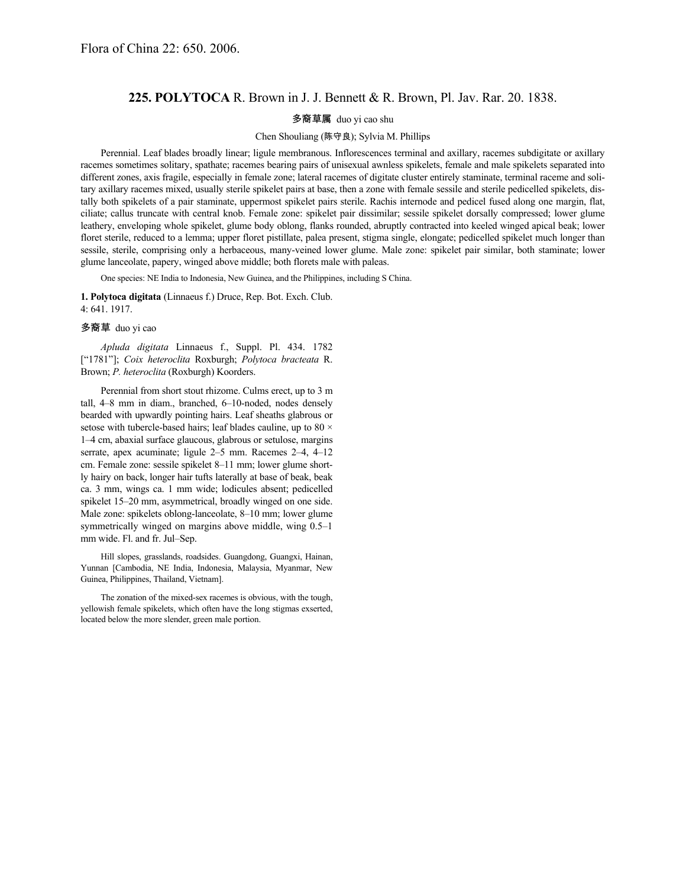## **225. POLYTOCA** R. Brown in J. J. Bennett & R. Brown, Pl. Jav. Rar. 20. 1838.

## 多裔草属 duo yi cao shu

## Chen Shouliang (陈守良); Sylvia M. Phillips

Perennial. Leaf blades broadly linear; ligule membranous. Inflorescences terminal and axillary, racemes subdigitate or axillary racemes sometimes solitary, spathate; racemes bearing pairs of unisexual awnless spikelets, female and male spikelets separated into different zones, axis fragile, especially in female zone; lateral racemes of digitate cluster entirely staminate, terminal raceme and solitary axillary racemes mixed, usually sterile spikelet pairs at base, then a zone with female sessile and sterile pedicelled spikelets, distally both spikelets of a pair staminate, uppermost spikelet pairs sterile. Rachis internode and pedicel fused along one margin, flat, ciliate; callus truncate with central knob. Female zone: spikelet pair dissimilar; sessile spikelet dorsally compressed; lower glume leathery, enveloping whole spikelet, glume body oblong, flanks rounded, abruptly contracted into keeled winged apical beak; lower floret sterile, reduced to a lemma; upper floret pistillate, palea present, stigma single, elongate; pedicelled spikelet much longer than sessile, sterile, comprising only a herbaceous, many-veined lower glume. Male zone: spikelet pair similar, both staminate; lower glume lanceolate, papery, winged above middle; both florets male with paleas.

One species: NE India to Indonesia, New Guinea, and the Philippines, including S China.

**1. Polytoca digitata** (Linnaeus f.) Druce, Rep. Bot. Exch. Club. 4: 641. 1917.

## 多裔草 duo yi cao

*Apluda digitata* Linnaeus f., Suppl. Pl. 434. 1782 ["1781"]; *Coix heteroclita* Roxburgh; *Polytoca bracteata* R. Brown; *P. heteroclita* (Roxburgh) Koorders.

Perennial from short stout rhizome. Culms erect, up to 3 m tall, 4–8 mm in diam., branched, 6–10-noded, nodes densely bearded with upwardly pointing hairs. Leaf sheaths glabrous or setose with tubercle-based hairs; leaf blades cauline, up to 80  $\times$ 1–4 cm, abaxial surface glaucous, glabrous or setulose, margins serrate, apex acuminate; ligule 2–5 mm. Racemes 2–4, 4–12 cm. Female zone: sessile spikelet 8–11 mm; lower glume shortly hairy on back, longer hair tufts laterally at base of beak, beak ca. 3 mm, wings ca. 1 mm wide; lodicules absent; pedicelled spikelet 15–20 mm, asymmetrical, broadly winged on one side. Male zone: spikelets oblong-lanceolate, 8–10 mm; lower glume symmetrically winged on margins above middle, wing 0.5–1 mm wide. Fl. and fr. Jul–Sep.

Hill slopes, grasslands, roadsides. Guangdong, Guangxi, Hainan, Yunnan [Cambodia, NE India, Indonesia, Malaysia, Myanmar, New Guinea, Philippines, Thailand, Vietnam].

The zonation of the mixed-sex racemes is obvious, with the tough, yellowish female spikelets, which often have the long stigmas exserted, located below the more slender, green male portion.